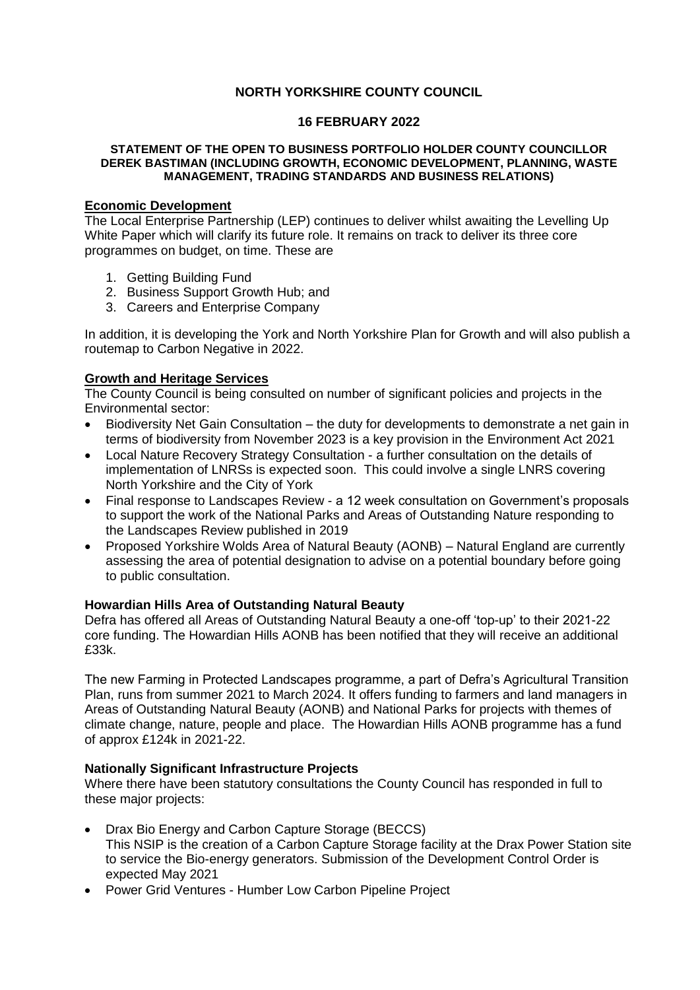# **NORTH YORKSHIRE COUNTY COUNCIL**

#### **16 FEBRUARY 2022**

#### **STATEMENT OF THE OPEN TO BUSINESS PORTFOLIO HOLDER COUNTY COUNCILLOR DEREK BASTIMAN (INCLUDING GROWTH, ECONOMIC DEVELOPMENT, PLANNING, WASTE MANAGEMENT, TRADING STANDARDS AND BUSINESS RELATIONS)**

# **Economic Development**

The Local Enterprise Partnership (LEP) continues to deliver whilst awaiting the Levelling Up White Paper which will clarify its future role. It remains on track to deliver its three core programmes on budget, on time. These are

- 1. Getting Building Fund
- 2. Business Support Growth Hub; and
- 3. Careers and Enterprise Company

In addition, it is developing the York and North Yorkshire Plan for Growth and will also publish a routemap to Carbon Negative in 2022.

## **Growth and Heritage Services**

The County Council is being consulted on number of significant policies and projects in the Environmental sector:

- Biodiversity Net Gain Consultation the duty for developments to demonstrate a net gain in terms of biodiversity from November 2023 is a key provision in the Environment Act 2021
- Local Nature Recovery Strategy Consultation a further consultation on the details of implementation of LNRSs is expected soon. This could involve a single LNRS covering North Yorkshire and the City of York
- Final response to Landscapes Review a 12 week consultation on Government's proposals to support the work of the National Parks and Areas of Outstanding Nature responding to the Landscapes Review published in 2019
- Proposed Yorkshire Wolds Area of Natural Beauty (AONB) Natural England are currently assessing the area of potential designation to advise on a potential boundary before going to public consultation.

## **Howardian Hills Area of Outstanding Natural Beauty**

Defra has offered all Areas of Outstanding Natural Beauty a one-off 'top-up' to their 2021-22 core funding. The Howardian Hills AONB has been notified that they will receive an additional £33k.

The new Farming in Protected Landscapes programme, a part of Defra's Agricultural Transition Plan, runs from summer 2021 to March 2024. It offers funding to farmers and land managers in Areas of Outstanding Natural Beauty (AONB) and National Parks for projects with themes of climate change, nature, people and place. The Howardian Hills AONB programme has a fund of approx £124k in 2021-22.

## **Nationally Significant Infrastructure Projects**

Where there have been statutory consultations the County Council has responded in full to these major projects:

- Drax Bio Energy and Carbon Capture Storage (BECCS) This NSIP is the creation of a Carbon Capture Storage facility at the Drax Power Station site to service the Bio-energy generators. Submission of the Development Control Order is expected May 2021
- Power Grid Ventures Humber Low Carbon Pipeline Project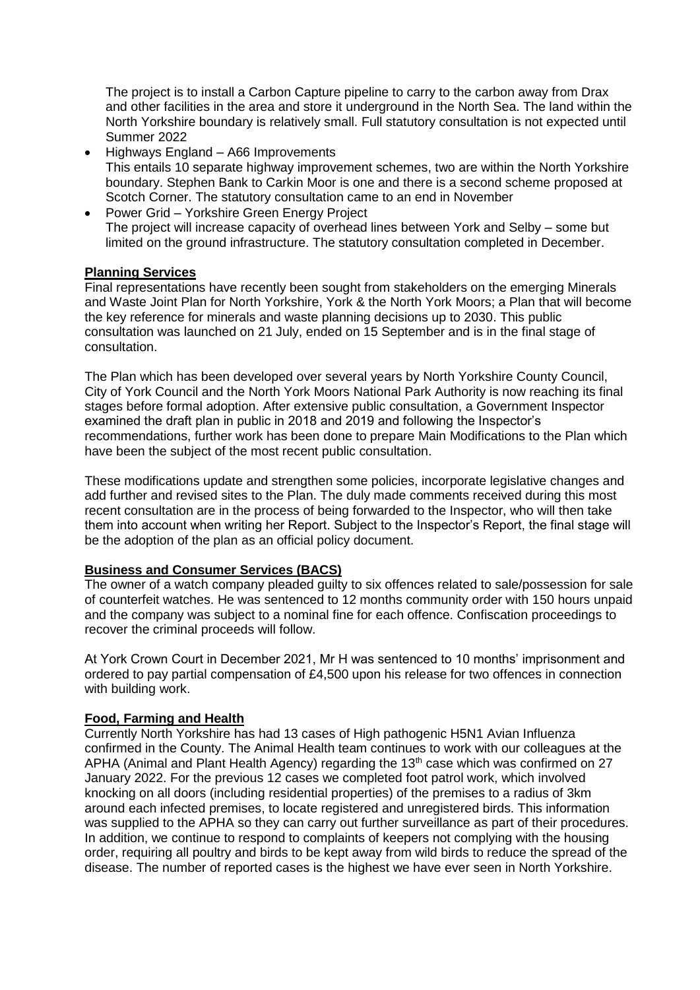The project is to install a Carbon Capture pipeline to carry to the carbon away from Drax and other facilities in the area and store it underground in the North Sea. The land within the North Yorkshire boundary is relatively small. Full statutory consultation is not expected until Summer 2022

- Highways England A66 Improvements This entails 10 separate highway improvement schemes, two are within the North Yorkshire boundary. Stephen Bank to Carkin Moor is one and there is a second scheme proposed at Scotch Corner. The statutory consultation came to an end in November
- Power Grid Yorkshire Green Energy Project The project will increase capacity of overhead lines between York and Selby – some but limited on the ground infrastructure. The statutory consultation completed in December.

## **Planning Services**

Final representations have recently been sought from stakeholders on the emerging Minerals and Waste Joint Plan for North Yorkshire, York & the North York Moors; a Plan that will become the key reference for minerals and waste planning decisions up to 2030. This public consultation was launched on 21 July, ended on 15 September and is in the final stage of consultation.

The Plan which has been developed over several years by North Yorkshire County Council, City of York Council and the North York Moors National Park Authority is now reaching its final stages before formal adoption. After extensive public consultation, a Government Inspector examined the draft plan in public in 2018 and 2019 and following the Inspector's recommendations, further work has been done to prepare Main Modifications to the Plan which have been the subject of the most recent public consultation.

These modifications update and strengthen some policies, incorporate legislative changes and add further and revised sites to the Plan. The duly made comments received during this most recent consultation are in the process of being forwarded to the Inspector, who will then take them into account when writing her Report. Subject to the Inspector's Report, the final stage will be the adoption of the plan as an official policy document.

#### **Business and Consumer Services (BACS)**

The owner of a watch company pleaded guilty to six offences related to sale/possession for sale of counterfeit watches. He was sentenced to 12 months community order with 150 hours unpaid and the company was subject to a nominal fine for each offence. Confiscation proceedings to recover the criminal proceeds will follow.

At York Crown Court in December 2021, Mr H was sentenced to 10 months' imprisonment and ordered to pay partial compensation of £4,500 upon his release for two offences in connection with building work.

## **Food, Farming and Health**

Currently North Yorkshire has had 13 cases of High pathogenic H5N1 Avian Influenza confirmed in the County. The Animal Health team continues to work with our colleagues at the APHA (Animal and Plant Health Agency) regarding the  $13<sup>th</sup>$  case which was confirmed on 27 January 2022. For the previous 12 cases we completed foot patrol work, which involved knocking on all doors (including residential properties) of the premises to a radius of 3km around each infected premises, to locate registered and unregistered birds. This information was supplied to the APHA so they can carry out further surveillance as part of their procedures. In addition, we continue to respond to complaints of keepers not complying with the housing order, requiring all poultry and birds to be kept away from wild birds to reduce the spread of the disease. The number of reported cases is the highest we have ever seen in North Yorkshire.